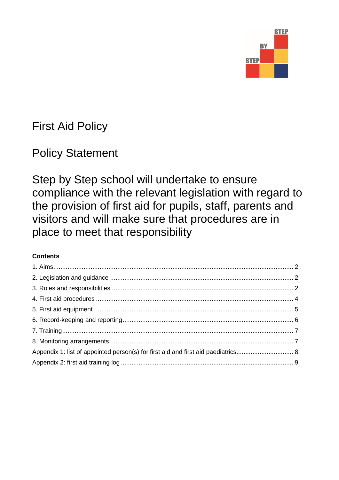

# First Aid Policy

# Policy Statement

Step by Step school will undertake to ensure compliance with the relevant legislation with regard to the provision of first aid for pupils, staff, parents and visitors and will make sure that procedures are in place to meet that responsibility

# **Contents**

| Appendix 1: list of appointed person(s) for first aid and first aid paediatrics 8 |
|-----------------------------------------------------------------------------------|
|                                                                                   |
|                                                                                   |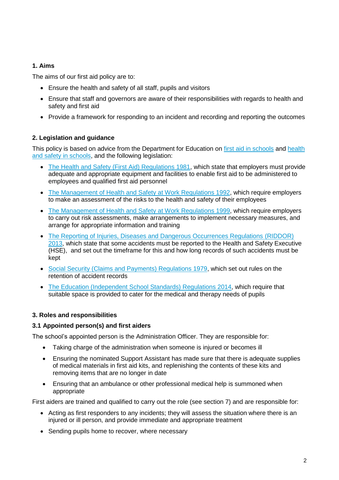# **1. Aims**

The aims of our first aid policy are to:

- Ensure the health and safety of all staff, pupils and visitors
- Ensure that staff and governors are aware of their responsibilities with regards to health and safety and first aid
- Provide a framework for responding to an incident and recording and reporting the outcomes

# **2. Legislation and guidance**

This policy is based on advice from the Department for Education on [first aid in schools](https://www.gov.uk/government/publications/first-aid-in-schools) and health [and safety in schools,](https://www.gov.uk/government/publications/health-and-safety-advice-for-schools) and the following legislation:

- [The Health and Safety \(First Aid\) Regulations 1981,](http://www.legislation.gov.uk/uksi/1981/917/regulation/3/made) which state that employers must provide adequate and appropriate equipment and facilities to enable first aid to be administered to employees and qualified first aid personnel
- [The Management of Health and Safety at Work Regulations 1992,](http://www.legislation.gov.uk/uksi/1992/2051/regulation/3/made) which require employers to make an assessment of the risks to the health and safety of their employees
- [The Management of Health and Safety at Work Regulations 1999,](http://www.legislation.gov.uk/uksi/1999/3242/contents/made) which require employers to carry out risk assessments, make arrangements to implement necessary measures, and arrange for appropriate information and training
- [The Reporting of Injuries, Diseases and Dangerous Occurrences Regulations](http://www.legislation.gov.uk/uksi/2013/1471/schedule/1/paragraph/1/made) (RIDDOR) [2013,](http://www.legislation.gov.uk/uksi/2013/1471/schedule/1/paragraph/1/made) which state that some accidents must be reported to the Health and Safety Executive (HSE), and set out the timeframe for this and how long records of such accidents must be kept
- [Social Security \(Claims and Payments\) Regulations 1979,](http://www.legislation.gov.uk/uksi/1979/628) which set out rules on the retention of accident records
- The Education [\(Independent School Standards\) Regulations 2014,](http://www.legislation.gov.uk/uksi/2014/3283/schedule/made) which require that suitable space is provided to cater for the medical and therapy needs of pupils

# **3. Roles and responsibilities**

# **3.1 Appointed person(s) and first aiders**

The school's appointed person is the Administration Officer. They are responsible for:

- Taking charge of the administration when someone is injured or becomes ill
- Ensuring the nominated Support Assistant has made sure that there is adequate supplies of medical materials in first aid kits, and replenishing the contents of these kits and removing items that are no longer in date
- Ensuring that an ambulance or other professional medical help is summoned when appropriate

First aiders are trained and qualified to carry out the role (see section 7) and are responsible for:

- Acting as first responders to any incidents; they will assess the situation where there is an injured or ill person, and provide immediate and appropriate treatment
- Sending pupils home to recover, where necessary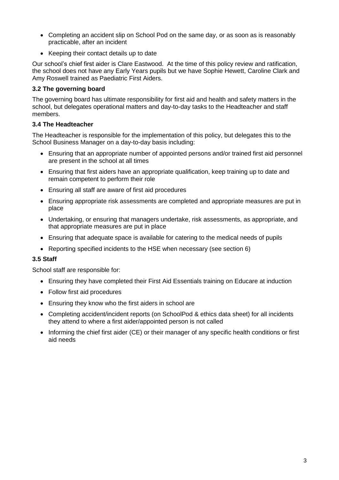- Completing an accident slip on School Pod on the same day, or as soon as is reasonably practicable, after an incident
- Keeping their contact details up to date

Our school's chief first aider is Clare Eastwood. At the time of this policy review and ratification, the school does not have any Early Years pupils but we have Sophie Hewett, Caroline Clark and Amy Roswell trained as Paediatric First Aiders.

# **3.2 The governing board**

The governing board has ultimate responsibility for first aid and health and safety matters in the school, but delegates operational matters and day-to-day tasks to the Headteacher and staff members.

#### **3.4 The Headteacher**

The Headteacher is responsible for the implementation of this policy, but delegates this to the School Business Manager on a day-to-day basis including:

- Ensuring that an appropriate number of appointed persons and/or trained first aid personnel are present in the school at all times
- Ensuring that first aiders have an appropriate qualification, keep training up to date and remain competent to perform their role
- Ensuring all staff are aware of first aid procedures
- Ensuring appropriate risk assessments are completed and appropriate measures are put in place
- Undertaking, or ensuring that managers undertake, risk assessments, as appropriate, and that appropriate measures are put in place
- Ensuring that adequate space is available for catering to the medical needs of pupils
- Reporting specified incidents to the HSE when necessary (see section 6)

#### **3.5 Staff**

School staff are responsible for:

- Ensuring they have completed their First Aid Essentials training on Educare at induction
- Follow first aid procedures
- Ensuring they know who the first aiders in school are
- Completing accident/incident reports (on SchoolPod & ethics data sheet) for all incidents they attend to where a first aider/appointed person is not called
- Informing the chief first aider (CE) or their manager of any specific health conditions or first aid needs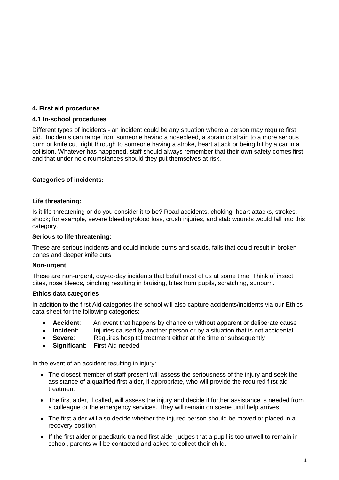#### **4. First aid procedures**

#### **4.1 In-school procedures**

Different types of incidents - an incident could be any situation where a person may require first aid. Incidents can range from someone having a nosebleed, a sprain or strain to a more serious burn or knife cut, right through to someone having a stroke, heart attack or being hit by a car in a collision. Whatever has happened, staff should always remember that their own safety comes first, and that under no circumstances should they put themselves at risk.

#### **Categories of incidents:**

#### **Life threatening:**

Is it life threatening or do you consider it to be? Road accidents, choking, heart attacks, strokes, shock; for example, severe bleeding/blood loss, crush injuries, and stab wounds would fall into this category.

#### **Serious to life threatening**:

These are serious incidents and could include burns and scalds, falls that could result in broken bones and deeper knife cuts.

#### **Non-urgent**

These are non-urgent, day-to-day incidents that befall most of us at some time. Think of insect bites, nose bleeds, pinching resulting in bruising, bites from pupils, scratching, sunburn.

#### **Ethics data categories**

In addition to the first Aid categories the school will also capture accidents/incidents via our Ethics data sheet for the following categories:

- **Accident**: An event that happens by chance or without apparent or deliberate cause
- **Incident:** Injuries caused by another person or by a situation that is not accidental
- **Severe**:Requires hospital treatment either at the time or subsequently
- **Significant**: First Aid needed

In the event of an accident resulting in injury:

- The closest member of staff present will assess the seriousness of the injury and seek the assistance of a qualified first aider, if appropriate, who will provide the required first aid treatment
- The first aider, if called, will assess the injury and decide if further assistance is needed from a colleague or the emergency services. They will remain on scene until help arrives
- The first aider will also decide whether the injured person should be moved or placed in a recovery position
- If the first aider or paediatric trained first aider judges that a pupil is too unwell to remain in school, parents will be contacted and asked to collect their child.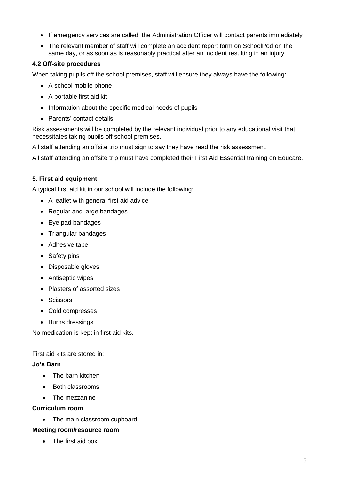- If emergency services are called, the Administration Officer will contact parents immediately
- The relevant member of staff will complete an accident report form on SchoolPod on the same day, or as soon as is reasonably practical after an incident resulting in an injury

#### **4.2 Off-site procedures**

When taking pupils off the school premises, staff will ensure they always have the following:

- A school mobile phone
- A portable first aid kit
- Information about the specific medical needs of pupils
- Parents' contact details

Risk assessments will be completed by the relevant individual prior to any educational visit that necessitates taking pupils off school premises.

All staff attending an offsite trip must sign to say they have read the risk assessment.

All staff attending an offsite trip must have completed their First Aid Essential training on Educare.

#### **5. First aid equipment**

A typical first aid kit in our school will include the following:

- A leaflet with general first aid advice
- Regular and large bandages
- Eye pad bandages
- Triangular bandages
- Adhesive tape
- Safety pins
- Disposable gloves
- Antiseptic wipes
- Plasters of assorted sizes
- Scissors
- Cold compresses
- Burns dressings

No medication is kept in first aid kits.

First aid kits are stored in:

#### **Jo's Barn**

- The barn kitchen
- Both classrooms
- The mezzanine

#### **Curriculum room**

• The main classroom cupboard

#### **Meeting room/resource room**

• The first aid box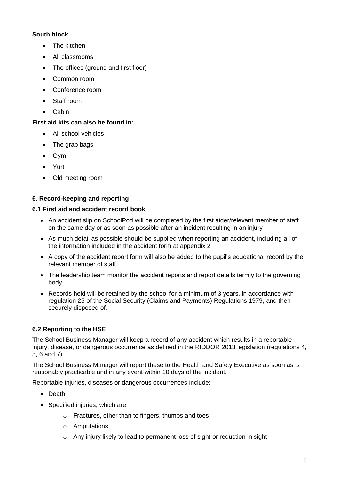# **South block**

- The kitchen
- All classrooms
- The offices (ground and first floor)
- Common room
- Conference room
- Staff room
- Cabin

# **First aid kits can also be found in:**

- All school vehicles
- The grab bags
- Gym
- Yurt
- Old meeting room

# **6. Record-keeping and reporting**

# **6.1 First aid and accident record book**

- An accident slip on SchoolPod will be completed by the first aider/relevant member of staff on the same day or as soon as possible after an incident resulting in an injury
- As much detail as possible should be supplied when reporting an accident, including all of the information included in the accident form at appendix 2
- A copy of the accident report form will also be added to the pupil's educational record by the relevant member of staff
- The leadership team monitor the accident reports and report details termly to the governing body
- Records held will be retained by the school for a minimum of 3 years, in accordance with regulation 25 of the Social Security (Claims and Payments) Regulations 1979, and then securely disposed of.

# **6.2 Reporting to the HSE**

The School Business Manager will keep a record of any accident which results in a reportable injury, disease, or dangerous occurrence as defined in the RIDDOR 2013 legislation (regulations 4, 5, 6 and 7).

The School Business Manager will report these to the Health and Safety Executive as soon as is reasonably practicable and in any event within 10 days of the incident.

Reportable injuries, diseases or dangerous occurrences include:

- Death
- Specified injuries, which are:
	- o Fractures, other than to fingers, thumbs and toes
	- o Amputations
	- o Any injury likely to lead to permanent loss of sight or reduction in sight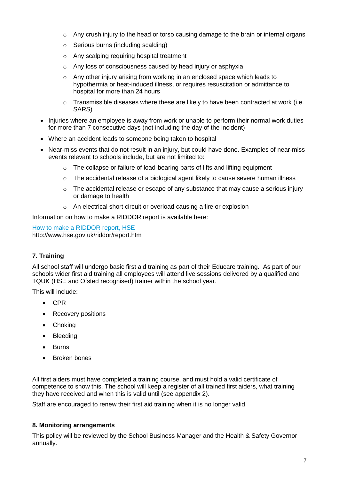- $\circ$  Any crush injury to the head or torso causing damage to the brain or internal organs
- o Serious burns (including scalding)
- o Any scalping requiring hospital treatment
- o Any loss of consciousness caused by head injury or asphyxia
- $\circ$  Any other injury arising from working in an enclosed space which leads to hypothermia or heat-induced illness, or requires resuscitation or admittance to hospital for more than 24 hours
- $\circ$  Transmissible diseases where these are likely to have been contracted at work (i.e. SARS)
- Injuries where an employee is away from work or unable to perform their normal work duties for more than 7 consecutive days (not including the day of the incident)
- Where an accident leads to someone being taken to hospital
- Near-miss events that do not result in an injury, but could have done. Examples of near-miss events relevant to schools include, but are not limited to:
	- o The collapse or failure of load-bearing parts of lifts and lifting equipment
	- o The accidental release of a biological agent likely to cause severe human illness
	- $\circ$  The accidental release or escape of any substance that may cause a serious injury or damage to health
	- o An electrical short circuit or overload causing a fire or explosion

Information on how to make a RIDDOR report is available here:

[How to make a RIDDOR report, HSE](http://www.hse.gov.uk/riddor/report.htm) http://www.hse.gov.uk/riddor/report.htm

# **7. Training**

All school staff will undergo basic first aid training as part of their Educare training. As part of our schools wider first aid training all employees will attend live sessions delivered by a qualified and TQUK (HSE and Ofsted recognised) trainer within the school year.

This will include:

- CPR
- Recovery positions
- Choking
- Bleeding
- Burns
- Broken bones

All first aiders must have completed a training course, and must hold a valid certificate of competence to show this. The school will keep a register of all trained first aiders, what training they have received and when this is valid until (see appendix 2).

Staff are encouraged to renew their first aid training when it is no longer valid.

# **8. Monitoring arrangements**

This policy will be reviewed by the School Business Manager and the Health & Safety Governor annually.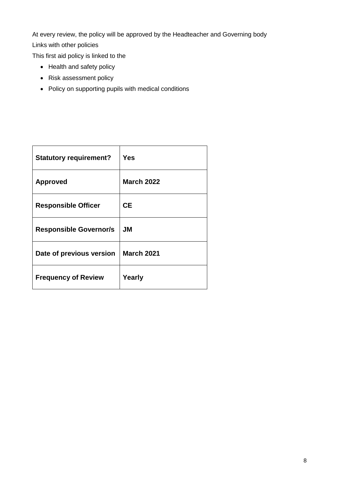At every review, the policy will be approved by the Headteacher and Governing body Links with other policies

This first aid policy is linked to the

- Health and safety policy
- Risk assessment policy
- Policy on supporting pupils with medical conditions

| <b>Statutory requirement?</b> | <b>Yes</b>        |
|-------------------------------|-------------------|
| <b>Approved</b>               | <b>March 2022</b> |
| <b>Responsible Officer</b>    | <b>CE</b>         |
| <b>Responsible Governor/s</b> | JM                |
| Date of previous version      | <b>March 2021</b> |
| <b>Frequency of Review</b>    | Yearly            |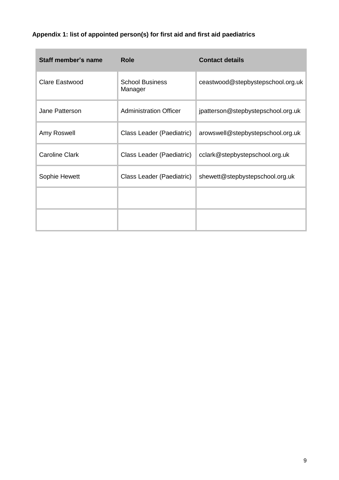# **Appendix 1: list of appointed person(s) for first aid and first aid paediatrics**

| Staff member's name   | Role                              | <b>Contact details</b>             |
|-----------------------|-----------------------------------|------------------------------------|
| Clare Eastwood        | <b>School Business</b><br>Manager | ceastwood@stepbystepschool.org.uk  |
| Jane Patterson        | <b>Administration Officer</b>     | jpatterson@stepbystepschool.org.uk |
| Amy Roswell           | Class Leader (Paediatric)         | arowswell@stepbystepschool.org.uk  |
| <b>Caroline Clark</b> | Class Leader (Paediatric)         | cclark@stepbystepschool.org.uk     |
| Sophie Hewett         | Class Leader (Paediatric)         | shewett@stepbystepschool.org.uk    |
|                       |                                   |                                    |
|                       |                                   |                                    |